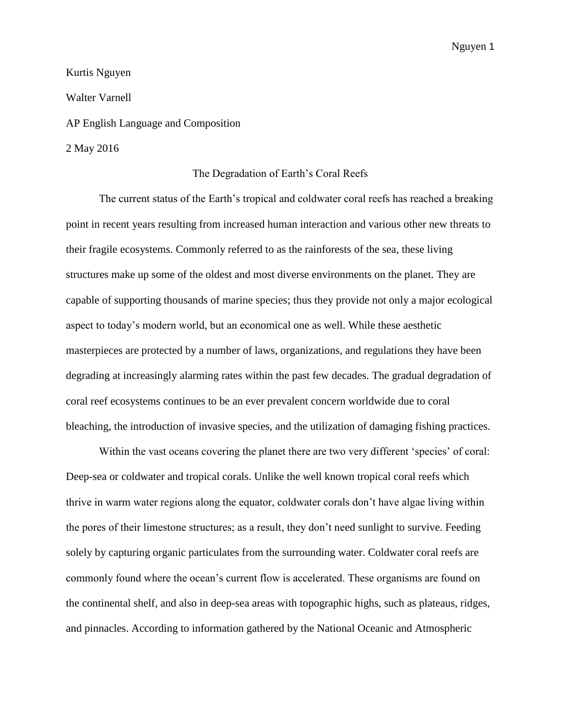Kurtis Nguyen Walter Varnell AP English Language and Composition 2 May 2016

## The Degradation of Earth's Coral Reefs

The current status of the Earth's tropical and coldwater coral reefs has reached a breaking point in recent years resulting from increased human interaction and various other new threats to their fragile ecosystems. Commonly referred to as the rainforests of the sea, these living structures make up some of the oldest and most diverse environments on the planet. They are capable of supporting thousands of marine species; thus they provide not only a major ecological aspect to today's modern world, but an economical one as well. While these aesthetic masterpieces are protected by a number of laws, organizations, and regulations they have been degrading at increasingly alarming rates within the past few decades. The gradual degradation of coral reef ecosystems continues to be an ever prevalent concern worldwide due to coral bleaching, the introduction of invasive species, and the utilization of damaging fishing practices.

Within the vast oceans covering the planet there are two very different 'species' of coral: Deep-sea or coldwater and tropical corals. Unlike the well known tropical coral reefs which thrive in warm water regions along the equator, coldwater corals don't have algae living within the pores of their limestone structures; as a result, they don't need sunlight to survive. Feeding solely by capturing organic particulates from the surrounding water. Coldwater coral reefs are commonly found where the ocean's current flow is accelerated. These organisms are found on the continental shelf, and also in deep-sea areas with topographic highs, such as plateaus, ridges, and pinnacles. According to information gathered by the National Oceanic and Atmospheric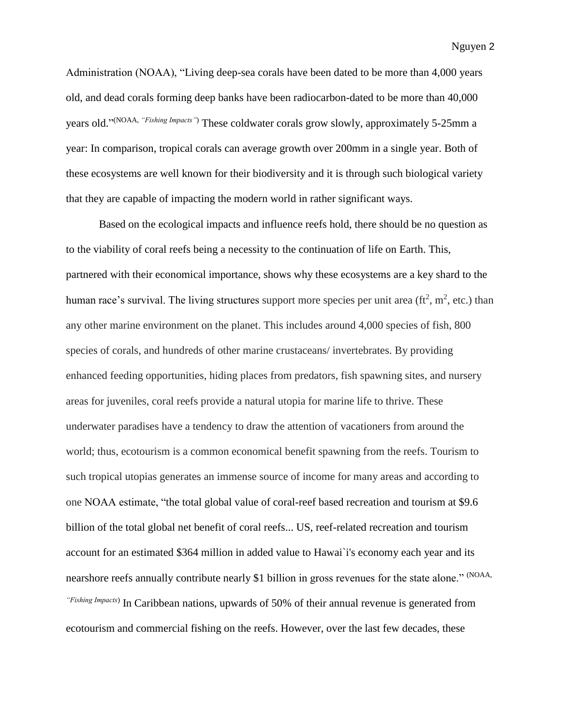Administration (NOAA), "Living deep-sea corals have been dated to be more than 4,000 years old, and dead corals forming deep banks have been radiocarbon-dated to be more than 40,000 years old." (NOAA, *"Fishing Impacts"*) These coldwater corals grow slowly, approximately 5-25mm a year: In comparison, tropical corals can average growth over 200mm in a single year. Both of these ecosystems are well known for their biodiversity and it is through such biological variety that they are capable of impacting the modern world in rather significant ways.

Based on the ecological impacts and influence reefs hold, there should be no question as to the viability of coral reefs being a necessity to the continuation of life on Earth. This, partnered with their economical importance, shows why these ecosystems are a key shard to the human race's survival. The living structures support more species per unit area ( $ft^2$ ,  $m^2$ , etc.) than any other marine environment on the planet. This includes around 4,000 species of fish, 800 species of corals, and hundreds of other marine crustaceans/ invertebrates. By providing enhanced feeding opportunities, hiding places from predators, fish spawning sites, and nursery areas for juveniles, coral reefs provide a natural utopia for marine life to thrive. These underwater paradises have a tendency to draw the attention of vacationers from around the world; thus, ecotourism is a common economical benefit spawning from the reefs. Tourism to such tropical utopias generates an immense source of income for many areas and according to one NOAA estimate, "the total global value of coral-reef based recreation and tourism at \$9.6 billion of the total global net benefit of coral reefs... US, reef-related recreation and tourism account for an estimated \$364 million in added value to Hawai`i's economy each year and its nearshore reefs annually contribute nearly \$1 billion in gross revenues for the state alone." (NOAA, *"Fishing Impacts*) In Caribbean nations, upwards of 50% of their annual revenue is generated from ecotourism and commercial fishing on the reefs. However, over the last few decades, these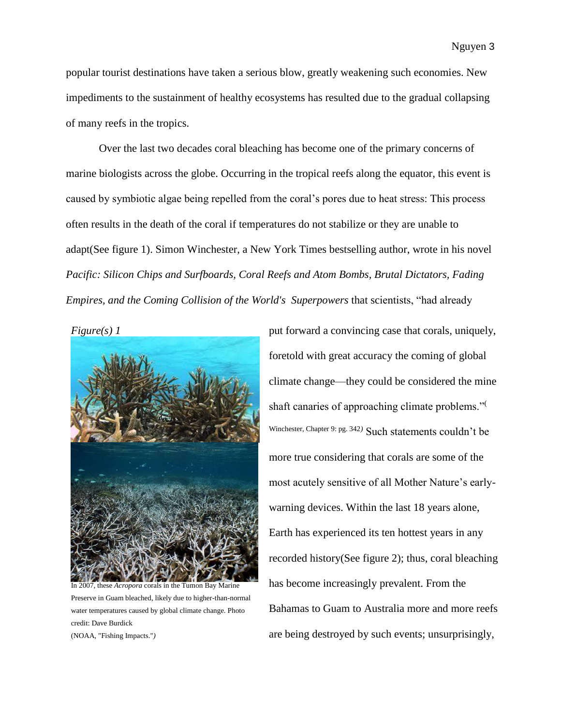popular tourist destinations have taken a serious blow, greatly weakening such economies. New impediments to the sustainment of healthy ecosystems has resulted due to the gradual collapsing of many reefs in the tropics.

Over the last two decades coral bleaching has become one of the primary concerns of marine biologists across the globe. Occurring in the tropical reefs along the equator, this event is caused by symbiotic algae being repelled from the coral's pores due to heat stress: This process often results in the death of the coral if temperatures do not stabilize or they are unable to adapt(See figure 1). Simon Winchester, a New York Times bestselling author, wrote in his novel *Pacific: Silicon Chips and Surfboards, Coral Reefs and Atom Bombs, Brutal Dictators, Fading Empires, and the Coming Collision of the World's\_Superpowers* that scientists, "had already



Preserve in Guam bleached, likely due to higher-than-normal water temperatures caused by global climate change. Photo credit: Dave Burdick

(NOAA, "Fishing Impacts."*)*

put forward a convincing case that corals, uniquely, foretold with great accuracy the coming of global climate change—they could be considered the mine shaft canaries of approaching climate problems."( Winchester, Chapter 9: pg. 342*)* Such statements couldn't be more true considering that corals are some of the most acutely sensitive of all Mother Nature's earlywarning devices. Within the last 18 years alone, Earth has experienced its ten hottest years in any recorded history(See figure 2); thus, coral bleaching has become increasingly prevalent. From the Bahamas to Guam to Australia more and more reefs are being destroyed by such events; unsurprisingly,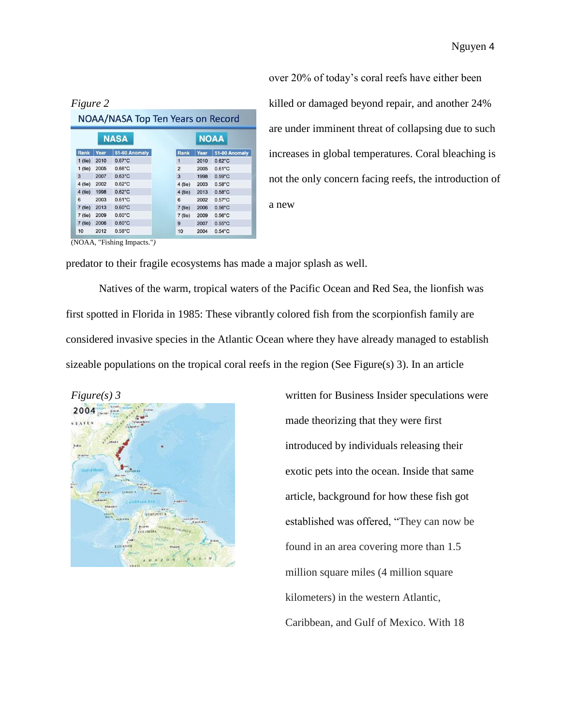| NOAA/NASA Top Ten Years on Record |      |                  |                |             |                  |
|-----------------------------------|------|------------------|----------------|-------------|------------------|
| <b>NASA</b>                       |      |                  |                | <b>NOAA</b> |                  |
| Rank                              | Year | 51-80 Anomaly    | Rank           | Year        | 51-80 Anomaly    |
| $1$ (tie)                         | 2010 | $0.67^{\circ}$ C | $\mathbf{1}$   | 2010        | $0.62^{\circ}$ C |
| $1$ (tie)                         | 2005 | $0.66^{\circ}$ C | $\overline{2}$ | 2005        | $0.61^{\circ}$ C |
| 3                                 | 2007 | $0.63^{\circ}$ C | $\mathbf{a}$   | 1998        | $0.59^{\circ}$ C |
| $4$ (tie)                         | 2002 | $0.62^{\circ}$ C | $4$ (tie)      | 2003        | $0.58^{\circ}$ C |
| $4$ (tie)                         | 1998 | $0.62^{\circ}$ C | $4$ (tie)      | 2013        | $0.58^{\circ}$ C |
| 6                                 | 2003 | $0.61^{\circ}$ C | 6              | 2002        | $0.57^{\circ}$ C |
| $7$ (tie)                         | 2013 | $0.60^{\circ}$ C | $7$ (tie)      | 2006        | $0.56^{\circ}$ C |
| $7$ (tie)                         | 2009 | $0.60^{\circ}$ C | $7$ (tie)      | 2009        | $0.56^{\circ}$ C |
| $7$ (tie)                         | 2006 | $0.60^{\circ}$ C | 9              | 2007        | $0.55^{\circ}$ C |
| 10                                | 2012 | $0.58^{\circ}$ C | 10             | 2004        | $0.54$ °C        |

over 20% of today's coral reefs have either been killed or damaged beyond repair, and another 24% are under imminent threat of collapsing due to such increases in global temperatures. Coral bleaching is not the only concern facing reefs, the introduction of a new

(NOAA, "Fishing Impacts."*)*

predator to their fragile ecosystems has made a major splash as well.

Natives of the warm, tropical waters of the Pacific Ocean and Red Sea, the lionfish was first spotted in Florida in 1985: These vibrantly colored fish from the scorpionfish family are considered invasive species in the Atlantic Ocean where they have already managed to establish sizeable populations on the tropical coral reefs in the region (See Figure(s) 3). In an article



made theorizing that they were first introduced by individuals releasing their exotic pets into the ocean. Inside that same article, background for how these fish got established was offered, "They can now be found in an area covering more than 1.5 million square miles (4 million square kilometers) in the western Atlantic, Caribbean, and Gulf of Mexico. With 18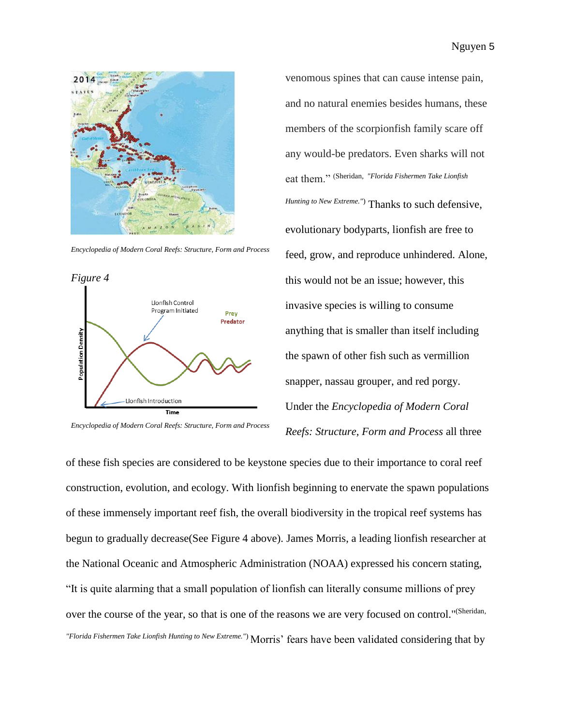

*Encyclopedia of Modern Coral Reefs: Structure, Form and Process*



*Encyclopedia of Modern Coral Reefs: Structure, Form and Process*

venomous spines that can cause intense pain, and no natural enemies besides humans, these members of the scorpionfish family scare off any would-be predators. Even sharks will not eat them." (Sheridan*, "Florida Fishermen Take Lionfish Hunting to New Extreme."*) Thanks to such defensive, evolutionary bodyparts, lionfish are free to feed, grow, and reproduce unhindered. Alone, this would not be an issue; however, this invasive species is willing to consume anything that is smaller than itself including the spawn of other fish such as vermillion snapper, nassau grouper, and red porgy. Under the *Encyclopedia of Modern Coral Reefs: Structure, Form and Process* all three

of these fish species are considered to be keystone species due to their importance to coral reef construction, evolution, and ecology. With lionfish beginning to enervate the spawn populations of these immensely important reef fish, the overall biodiversity in the tropical reef systems has begun to gradually decrease(See Figure 4 above). James Morris, a leading lionfish researcher at the National Oceanic and Atmospheric Administration (NOAA) expressed his concern stating, "It is quite alarming that a small population of lionfish can literally consume millions of prey over the course of the year, so that is one of the reasons we are very focused on control."<sup>(Sheridan,</sup> *"Florida Fishermen Take Lionfish Hunting to New Extreme."*) Morris' fears have been validated considering that by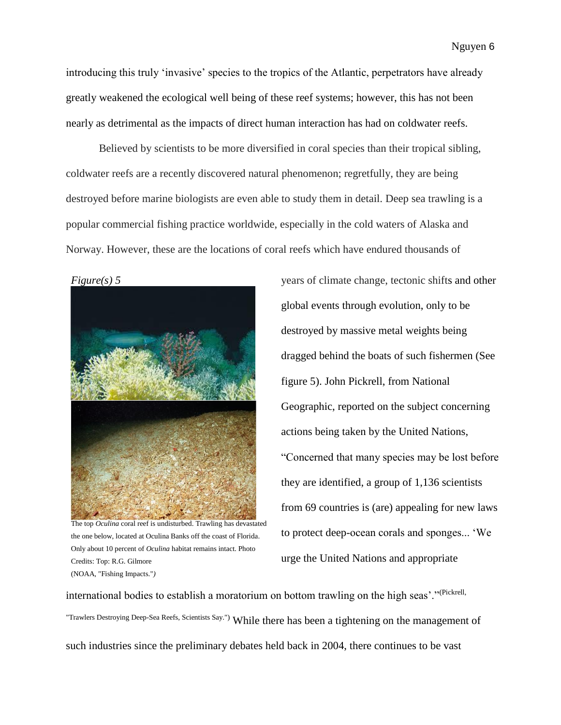introducing this truly 'invasive' species to the tropics of the Atlantic, perpetrators have already greatly weakened the ecological well being of these reef systems; however, this has not been nearly as detrimental as the impacts of direct human interaction has had on coldwater reefs.

Believed by scientists to be more diversified in coral species than their tropical sibling, coldwater reefs are a recently discovered natural phenomenon; regretfully, they are being destroyed before marine biologists are even able to study them in detail. Deep sea trawling is a popular commercial fishing practice worldwide, especially in the cold waters of Alaska and Norway. However, these are the locations of coral reefs which have endured thousands of



The top *Oculina* coral reef is undisturbed. Trawling has devastated the one below, located at Oculina Banks off the coast of Florida. Only about 10 percent of *Oculina* habitat remains intact. Photo Credits: Top: R.G. Gilmore (NOAA, "Fishing Impacts."*)*

years of climate change, tectonic shifts and other global events through evolution, only to be destroyed by massive metal weights being dragged behind the boats of such fishermen (See figure 5). John Pickrell, from National Geographic, reported on the subject concerning actions being taken by the United Nations, "Concerned that many species may be lost before they are identified, a group of 1,136 scientists from 69 countries is (are) appealing for new laws to protect deep-ocean corals and sponges... 'We urge the United Nations and appropriate

international bodies to establish a moratorium on bottom trawling on the high seas'."(Pickrell, "Trawlers Destroying Deep-Sea Reefs, Scientists Say.") While there has been a tightening on the management of such industries since the preliminary debates held back in 2004, there continues to be vast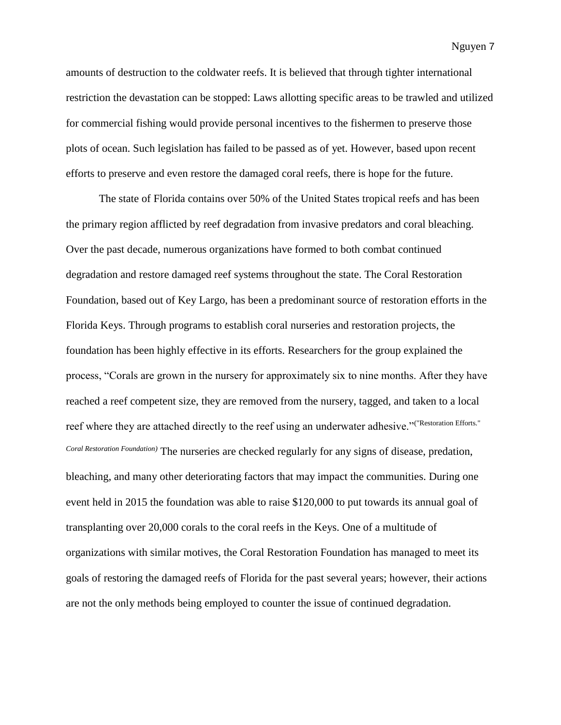amounts of destruction to the coldwater reefs. It is believed that through tighter international restriction the devastation can be stopped: Laws allotting specific areas to be trawled and utilized for commercial fishing would provide personal incentives to the fishermen to preserve those plots of ocean. Such legislation has failed to be passed as of yet. However, based upon recent efforts to preserve and even restore the damaged coral reefs, there is hope for the future.

The state of Florida contains over 50% of the United States tropical reefs and has been the primary region afflicted by reef degradation from invasive predators and coral bleaching. Over the past decade, numerous organizations have formed to both combat continued degradation and restore damaged reef systems throughout the state. The Coral Restoration Foundation, based out of Key Largo, has been a predominant source of restoration efforts in the Florida Keys. Through programs to establish coral nurseries and restoration projects, the foundation has been highly effective in its efforts. Researchers for the group explained the process, "Corals are grown in the nursery for approximately six to nine months. After they have reached a reef competent size, they are removed from the nursery, tagged, and taken to a local reef where they are attached directly to the reef using an underwater adhesive."("Restoration Efforts." *Coral Restoration Foundation)* The nurseries are checked regularly for any signs of disease, predation, bleaching, and many other deteriorating factors that may impact the communities. During one event held in 2015 the foundation was able to raise \$120,000 to put towards its annual goal of transplanting over 20,000 corals to the coral reefs in the Keys. One of a multitude of organizations with similar motives, the Coral Restoration Foundation has managed to meet its goals of restoring the damaged reefs of Florida for the past several years; however, their actions are not the only methods being employed to counter the issue of continued degradation.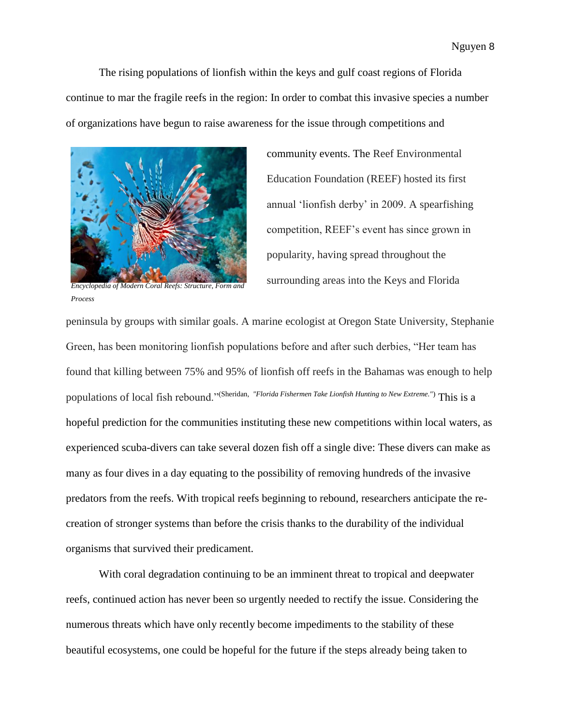The rising populations of lionfish within the keys and gulf coast regions of Florida continue to mar the fragile reefs in the region: In order to combat this invasive species a number of organizations have begun to raise awareness for the issue through competitions and



*Encyclopedia of Modern Coral Reefs: Structure, Form and Process*

community events. The Reef Environmental Education Foundation (REEF) hosted its first annual 'lionfish derby' in 2009. A spearfishing competition, REEF's event has since grown in popularity, having spread throughout the surrounding areas into the Keys and Florida

peninsula by groups with similar goals. A marine ecologist at Oregon State University, Stephanie Green, has been monitoring lionfish populations before and after such derbies, "Her team has found that killing between 75% and 95% of lionfish off reefs in the Bahamas was enough to help populations of local fish rebound."(Sheridan*, "Florida Fishermen Take Lionfish Hunting to New Extreme."*) This is a hopeful prediction for the communities instituting these new competitions within local waters, as experienced scuba-divers can take several dozen fish off a single dive: These divers can make as many as four dives in a day equating to the possibility of removing hundreds of the invasive predators from the reefs. With tropical reefs beginning to rebound, researchers anticipate the recreation of stronger systems than before the crisis thanks to the durability of the individual organisms that survived their predicament.

With coral degradation continuing to be an imminent threat to tropical and deepwater reefs, continued action has never been so urgently needed to rectify the issue. Considering the numerous threats which have only recently become impediments to the stability of these beautiful ecosystems, one could be hopeful for the future if the steps already being taken to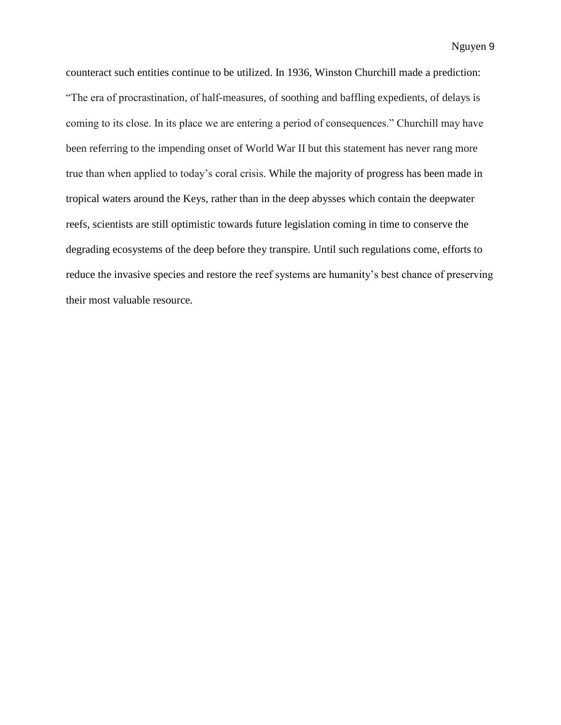counteract such entities continue to be utilized. In 1936, Winston Churchill made a prediction: "The era of procrastination, of half-measures, of soothing and baffling expedients, of delays is coming to its close. In its place we are entering a period of consequences." Churchill may have been referring to the impending onset of World War II but this statement has never rang more true than when applied to today's coral crisis. While the majority of progress has been made in tropical waters around the Keys, rather than in the deep abysses which contain the deepwater reefs, scientists are still optimistic towards future legislation coming in time to conserve the degrading ecosystems of the deep before they transpire. Until such regulations come, efforts to reduce the invasive species and restore the reef systems are humanity's best chance of preserving their most valuable resource.